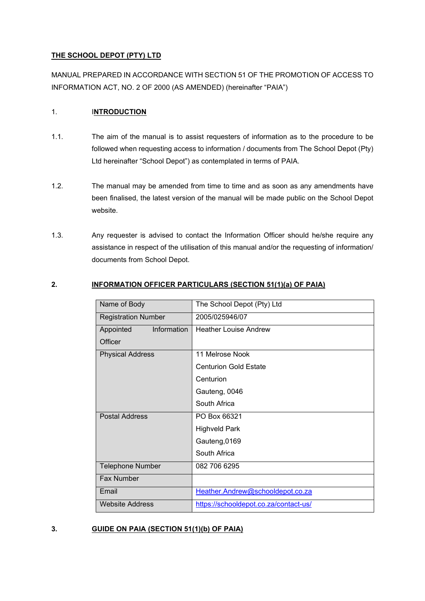#### **THE SCHOOL DEPOT (PTY) LTD**

MANUAL PREPARED IN ACCORDANCE WITH SECTION 51 OF THE PROMOTION OF ACCESS TO INFORMATION ACT, NO. 2 OF 2000 (AS AMENDED) (hereinafter "PAIA")

## 1. I**NTRODUCTION**

- 1.1. The aim of the manual is to assist requesters of information as to the procedure to be followed when requesting access to information / documents from The School Depot (Pty) Ltd hereinafter "School Depot") as contemplated in terms of PAIA.
- 1.2. The manual may be amended from time to time and as soon as any amendments have been finalised, the latest version of the manual will be made public on the School Depot website.
- 1.3. Any requester is advised to contact the Information Officer should he/she require any assistance in respect of the utilisation of this manual and/or the requesting of information/ documents from School Depot.

# **2. INFORMATION OFFICER PARTICULARS (SECTION 51(1)(a) OF PAIA)**

| Name of Body               | The School Depot (Pty) Ltd            |  |  |
|----------------------------|---------------------------------------|--|--|
| <b>Registration Number</b> | 2005/025946/07                        |  |  |
| Information<br>Appointed   | <b>Heather Louise Andrew</b>          |  |  |
| Officer                    |                                       |  |  |
| <b>Physical Address</b>    | 11 Melrose Nook                       |  |  |
|                            | <b>Centurion Gold Estate</b>          |  |  |
|                            | Centurion                             |  |  |
|                            | Gauteng, 0046                         |  |  |
|                            | South Africa                          |  |  |
| <b>Postal Address</b>      | PO Box 66321                          |  |  |
|                            | <b>Highveld Park</b>                  |  |  |
|                            | Gauteng, 0169                         |  |  |
|                            | South Africa                          |  |  |
| <b>Telephone Number</b>    | 082 706 6295                          |  |  |
| <b>Fax Number</b>          |                                       |  |  |
| Email                      | Heather.Andrew@schooldepot.co.za      |  |  |
| <b>Website Address</b>     | https://schooldepot.co.za/contact-us/ |  |  |

# **3. GUIDE ON PAIA (SECTION 51(1)(b) OF PAIA)**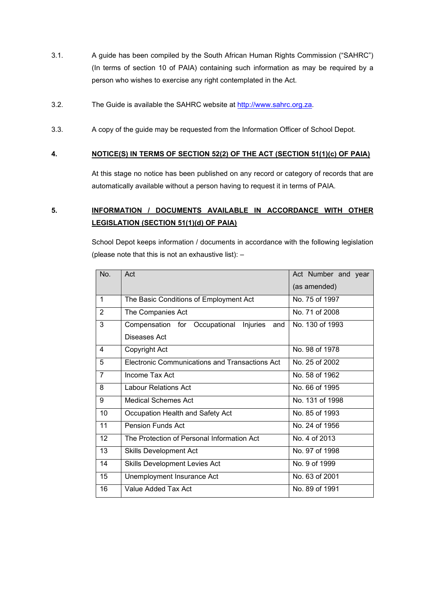- 3.1. A guide has been compiled by the South African Human Rights Commission ("SAHRC") (In terms of section 10 of PAIA) containing such information as may be required by a person who wishes to exercise any right contemplated in the Act.
- 3.2. The Guide is available the SAHRC website at [http://www.sahrc.org.za.](http://www.sahrc.org.za/)
- 3.3. A copy of the guide may be requested from the Information Officer of School Depot.

#### **4. NOTICE(S) IN TERMS OF SECTION 52(2) OF THE ACT (SECTION 51(1)(c) OF PAIA)**

At this stage no notice has been published on any record or category of records that are automatically available without a person having to request it in terms of PAIA.

# **5. INFORMATION / DOCUMENTS AVAILABLE IN ACCORDANCE WITH OTHER LEGISLATION (SECTION 51(1)(d) OF PAIA)**

School Depot keeps information / documents in accordance with the following legislation (please note that this is not an exhaustive list): –

| No.            | Act                                              | Act Number and year |
|----------------|--------------------------------------------------|---------------------|
|                |                                                  | (as amended)        |
| $\mathbf{1}$   | The Basic Conditions of Employment Act           | No. 75 of 1997      |
| 2              | The Companies Act                                | No. 71 of 2008      |
| 3              | Compensation for Occupational<br>Injuries<br>and | No. 130 of 1993     |
|                | Diseases Act                                     |                     |
| 4              | Copyright Act                                    | No. 98 of 1978      |
| 5              | Electronic Communications and Transactions Act   | No. 25 of 2002      |
| $\overline{7}$ | Income Tax Act                                   | No. 58 of 1962      |
| 8              | Labour Relations Act                             | No. 66 of 1995      |
| 9              | Medical Schemes Act                              | No. 131 of 1998     |
| 10             | Occupation Health and Safety Act                 | No. 85 of 1993      |
| 11             | <b>Pension Funds Act</b>                         | No. 24 of 1956      |
| 12             | The Protection of Personal Information Act       | No. 4 of 2013       |
| 13             | Skills Development Act                           | No. 97 of 1998      |
| 14             | <b>Skills Development Levies Act</b>             | No. 9 of 1999       |
| 15             | Unemployment Insurance Act                       | No. 63 of 2001      |
| 16             | Value Added Tax Act                              | No. 89 of 1991      |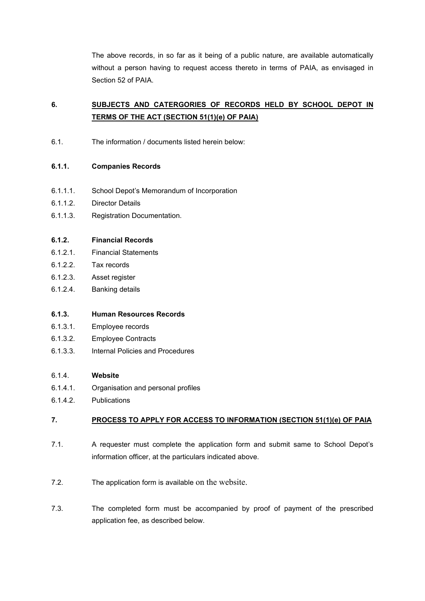The above records, in so far as it being of a public nature, are available automatically without a person having to request access thereto in terms of PAIA, as envisaged in Section 52 of PAIA.

# **6. SUBJECTS AND CATERGORIES OF RECORDS HELD BY SCHOOL DEPOT IN TERMS OF THE ACT (SECTION 51(1)(e) OF PAIA)**

6.1. The information / documents listed herein below:

## **6.1.1. Companies Records**

- 6.1.1.1. School Depot's Memorandum of Incorporation
- 6.1.1.2. Director Details
- 6.1.1.3. Registration Documentation.

## **6.1.2. Financial Records**

- 6.1.2.1. Financial Statements
- 6.1.2.2. Tax records
- 6.1.2.3. Asset register
- 6.1.2.4. Banking details

#### **6.1.3. Human Resources Records**

- 6.1.3.1. Employee records
- 6.1.3.2. Employee Contracts
- 6.1.3.3. Internal Policies and Procedures

#### 6.1.4. **Website**

- 6.1.4.1. Organisation and personal profiles
- 6.1.4.2. Publications

# **7. PROCESS TO APPLY FOR ACCESS TO INFORMATION (SECTION 51(1)(e) OF PAIA**

- 7.1. A requester must complete the application form and submit same to School Depot's information officer, at the particulars indicated above.
- 7.2. The application form is available on the website.
- 7.3. The completed form must be accompanied by proof of payment of the prescribed application fee, as described below.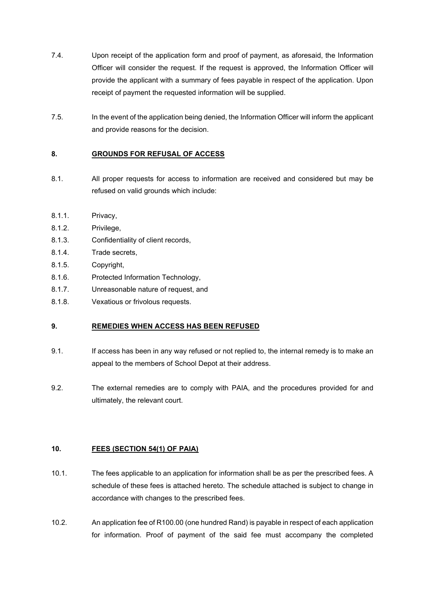- 7.4. Upon receipt of the application form and proof of payment, as aforesaid, the Information Officer will consider the request. If the request is approved, the Information Officer will provide the applicant with a summary of fees payable in respect of the application. Upon receipt of payment the requested information will be supplied.
- 7.5. In the event of the application being denied, the Information Officer will inform the applicant and provide reasons for the decision.

# **8. GROUNDS FOR REFUSAL OF ACCESS**

- 8.1. All proper requests for access to information are received and considered but may be refused on valid grounds which include:
- 8.1.1. Privacy,
- 8.1.2. Privilege,
- 8.1.3. Confidentiality of client records,
- 8.1.4. Trade secrets,
- 8.1.5. Copyright,
- 8.1.6. Protected Information Technology,
- 8.1.7. Unreasonable nature of request, and
- 8.1.8. Vexatious or frivolous requests.

#### **9. REMEDIES WHEN ACCESS HAS BEEN REFUSED**

- 9.1. If access has been in any way refused or not replied to, the internal remedy is to make an appeal to the members of School Depot at their address.
- 9.2. The external remedies are to comply with PAIA, and the procedures provided for and ultimately, the relevant court.

# **10. FEES (SECTION 54(1) OF PAIA)**

- 10.1. The fees applicable to an application for information shall be as per the prescribed fees. A schedule of these fees is attached hereto. The schedule attached is subject to change in accordance with changes to the prescribed fees.
- 10.2. An application fee of R100.00 (one hundred Rand) is payable in respect of each application for information. Proof of payment of the said fee must accompany the completed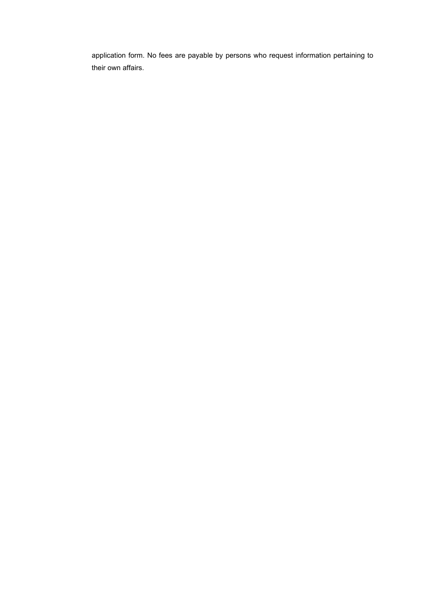application form. No fees are payable by persons who request information pertaining to their own affairs.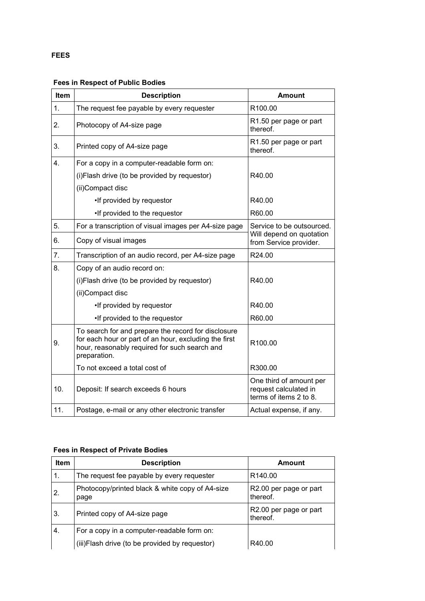# **FEES**

# **Fees in Respect of Public Bodies**

| Item           | <b>Description</b>                                                                                                                                                            | <b>Amount</b>                                                                   |
|----------------|-------------------------------------------------------------------------------------------------------------------------------------------------------------------------------|---------------------------------------------------------------------------------|
| 1 <sub>1</sub> | The request fee payable by every requester                                                                                                                                    | R <sub>100.00</sub>                                                             |
| 2.             | Photocopy of A4-size page                                                                                                                                                     | R1.50 per page or part<br>thereof.                                              |
| 3.             | Printed copy of A4-size page                                                                                                                                                  | R1.50 per page or part<br>thereof.                                              |
| 4.             | For a copy in a computer-readable form on:                                                                                                                                    |                                                                                 |
|                | (i)Flash drive (to be provided by requestor)                                                                                                                                  | R40.00                                                                          |
|                | (ii)Compact disc                                                                                                                                                              |                                                                                 |
|                | •If provided by requestor                                                                                                                                                     | R40.00                                                                          |
|                | •If provided to the requestor                                                                                                                                                 | R60.00                                                                          |
| 5.             | For a transcription of visual images per A4-size page                                                                                                                         | Service to be outsourced.<br>Will depend on quotation<br>from Service provider. |
| 6.             | Copy of visual images                                                                                                                                                         |                                                                                 |
| 7 <sub>1</sub> | Transcription of an audio record, per A4-size page                                                                                                                            | R24.00                                                                          |
| 8.             | Copy of an audio record on:                                                                                                                                                   |                                                                                 |
|                | (i) Flash drive (to be provided by requestor)                                                                                                                                 | R40.00                                                                          |
|                | (ii)Compact disc                                                                                                                                                              |                                                                                 |
|                | •If provided by requestor                                                                                                                                                     | R40.00                                                                          |
|                | •If provided to the requestor                                                                                                                                                 | R60.00                                                                          |
| 9.             | To search for and prepare the record for disclosure<br>for each hour or part of an hour, excluding the first<br>hour, reasonably required for such search and<br>preparation. | R100.00                                                                         |
|                | To not exceed a total cost of                                                                                                                                                 | R300.00                                                                         |
| 10.            | Deposit: If search exceeds 6 hours                                                                                                                                            | One third of amount per<br>request calculated in<br>terms of items 2 to 8.      |
| 11.            | Postage, e-mail or any other electronic transfer                                                                                                                              | Actual expense, if any.                                                         |

# **Fees in Respect of Private Bodies**

| <b>Item</b> | <b>Description</b>                                      | <b>Amount</b>                      |
|-------------|---------------------------------------------------------|------------------------------------|
| 1.          | The request fee payable by every requester              | R <sub>140.00</sub>                |
| 2.          | Photocopy/printed black & white copy of A4-size<br>page | R2.00 per page or part<br>thereof. |
| 3.          | Printed copy of A4-size page                            | R2.00 per page or part<br>thereof. |
| 4.          | For a copy in a computer-readable form on:              |                                    |
|             | (iii) Flash drive (to be provided by requestor)         | R40.00                             |